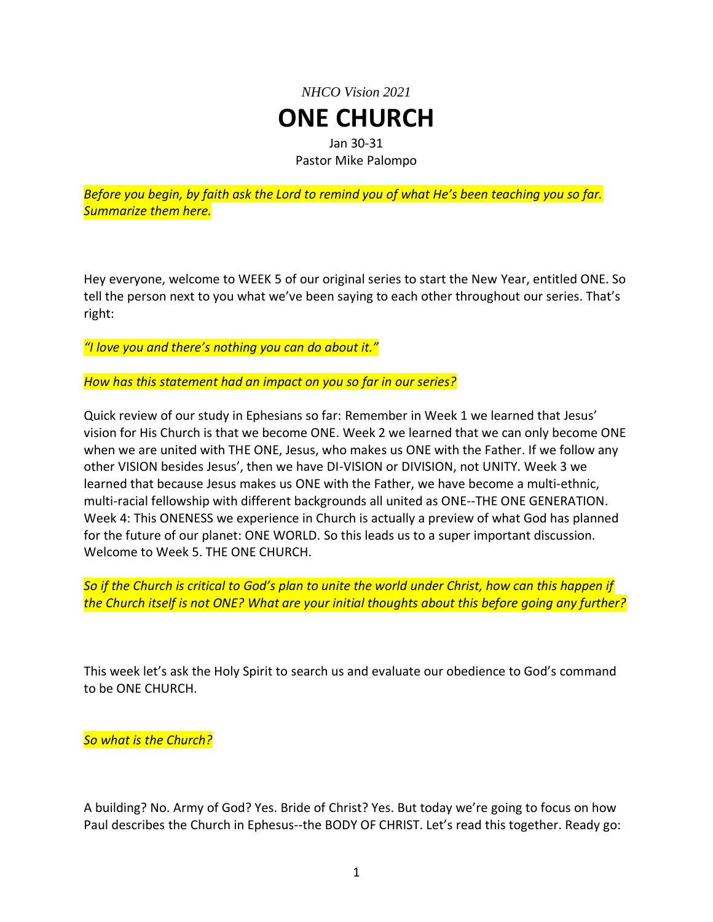## *NHCO Vision 2021* **ONE CHURCH** Jan 30-31 Pastor Mike Palompo

*Before you begin, by faith ask the Lord to remind you of what He's been teaching you so far. Summarize them here.*

Hey everyone, welcome to WEEK 5 of our original series to start the New Year, entitled ONE. So tell the person next to you what we've been saying to each other throughout our series. That's right:

*"I love you and there's nothing you can do about it."*

*How has this statement had an impact on you so far in our series?*

Quick review of our study in Ephesians so far: Remember in Week 1 we learned that Jesus' vision for His Church is that we become ONE. Week 2 we learned that we can only become ONE when we are united with THE ONE, Jesus, who makes us ONE with the Father. If we follow any other VISION besides Jesus', then we have DI-VISION or DIVISION, not UNITY. Week 3 we learned that because Jesus makes us ONE with the Father, we have become a multi-ethnic, multi-racial fellowship with different backgrounds all united as ONE--THE ONE GENERATION. Week 4: This ONENESS we experience in Church is actually a preview of what God has planned for the future of our planet: ONE WORLD. So this leads us to a super important discussion. Welcome to Week 5. THE ONE CHURCH.

*So if the Church is critical to God's plan to unite the world under Christ, how can this happen if the Church itself is not ONE? What are your initial thoughts about this before going any further?*

This week let's ask the Holy Spirit to search us and evaluate our obedience to God's command to be ONE CHURCH.

*So what is the Church?*

A building? No. Army of God? Yes. Bride of Christ? Yes. But today we're going to focus on how Paul describes the Church in Ephesus--the BODY OF CHRIST. Let's read this together. Ready go: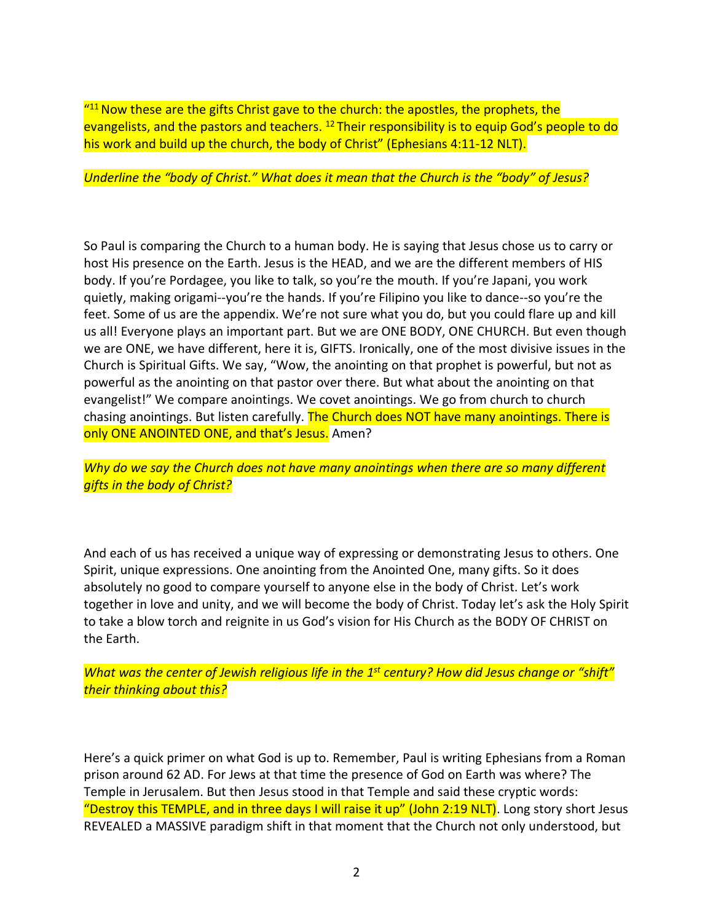"<sup>11</sup> Now these are the gifts Christ gave to the church: the apostles, the prophets, the evangelists, and the pastors and teachers. <sup>12</sup> Their responsibility is to equip God's people to do his work and build up the church, the body of Christ" (Ephesians 4:11-12 NLT).

*Underline the "body of Christ." What does it mean that the Church is the "body" of Jesus?*

So Paul is comparing the Church to a human body. He is saying that Jesus chose us to carry or host His presence on the Earth. Jesus is the HEAD, and we are the different members of HIS body. If you're Pordagee, you like to talk, so you're the mouth. If you're Japani, you work quietly, making origami--you're the hands. If you're Filipino you like to dance--so you're the feet. Some of us are the appendix. We're not sure what you do, but you could flare up and kill us all! Everyone plays an important part. But we are ONE BODY, ONE CHURCH. But even though we are ONE, we have different, here it is, GIFTS. Ironically, one of the most divisive issues in the Church is Spiritual Gifts. We say, "Wow, the anointing on that prophet is powerful, but not as powerful as the anointing on that pastor over there. But what about the anointing on that evangelist!" We compare anointings. We covet anointings. We go from church to church chasing anointings. But listen carefully. The Church does NOT have many anointings. There is only ONE ANOINTED ONE, and that's Jesus. Amen?

*Why do we say the Church does not have many anointings when there are so many different gifts in the body of Christ?*

And each of us has received a unique way of expressing or demonstrating Jesus to others. One Spirit, unique expressions. One anointing from the Anointed One, many gifts. So it does absolutely no good to compare yourself to anyone else in the body of Christ. Let's work together in love and unity, and we will become the body of Christ. Today let's ask the Holy Spirit to take a blow torch and reignite in us God's vision for His Church as the BODY OF CHRIST on the Earth.

What was the center of Jewish religious life in the 1<sup>st</sup> century? How did Jesus change or "shift" *their thinking about this?*

Here's a quick primer on what God is up to. Remember, Paul is writing Ephesians from a Roman prison around 62 AD. For Jews at that time the presence of God on Earth was where? The Temple in Jerusalem. But then Jesus stood in that Temple and said these cryptic words: "Destroy this TEMPLE, and in three days I will raise it up" (John 2:19 NLT). Long story short Jesus REVEALED a MASSIVE paradigm shift in that moment that the Church not only understood, but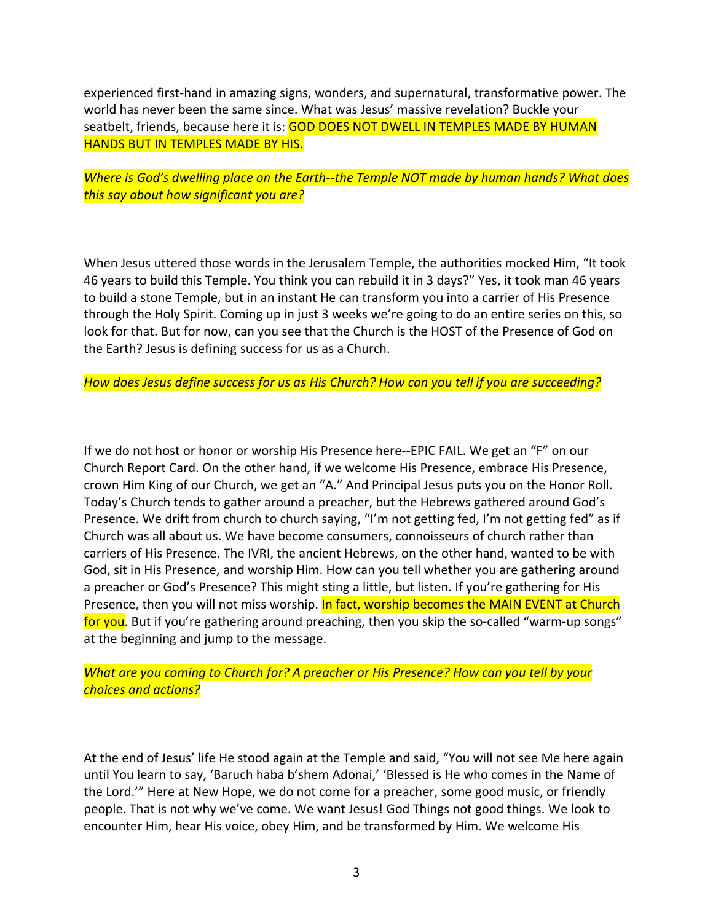experienced first-hand in amazing signs, wonders, and supernatural, transformative power. The world has never been the same since. What was Jesus' massive revelation? Buckle your seatbelt, friends, because here it is: GOD DOES NOT DWELL IN TEMPLES MADE BY HUMAN HANDS BUT IN TEMPLES MADE BY HIS.

*Where is God's dwelling place on the Earth--the Temple NOT made by human hands? What does this say about how significant you are?*

When Jesus uttered those words in the Jerusalem Temple, the authorities mocked Him, "It took 46 years to build this Temple. You think you can rebuild it in 3 days?" Yes, it took man 46 years to build a stone Temple, but in an instant He can transform you into a carrier of His Presence through the Holy Spirit. Coming up in just 3 weeks we're going to do an entire series on this, so look for that. But for now, can you see that the Church is the HOST of the Presence of God on the Earth? Jesus is defining success for us as a Church.

*How does Jesus define success for us as His Church? How can you tell if you are succeeding?*

If we do not host or honor or worship His Presence here--EPIC FAIL. We get an "F" on our Church Report Card. On the other hand, if we welcome His Presence, embrace His Presence, crown Him King of our Church, we get an "A." And Principal Jesus puts you on the Honor Roll. Today's Church tends to gather around a preacher, but the Hebrews gathered around God's Presence. We drift from church to church saying, "I'm not getting fed, I'm not getting fed" as if Church was all about us. We have become consumers, connoisseurs of church rather than carriers of His Presence. The IVRI, the ancient Hebrews, on the other hand, wanted to be with God, sit in His Presence, and worship Him. How can you tell whether you are gathering around a preacher or God's Presence? This might sting a little, but listen. If you're gathering for His Presence, then you will not miss worship. In fact, worship becomes the MAIN EVENT at Church for you. But if you're gathering around preaching, then you skip the so-called "warm-up songs" at the beginning and jump to the message.

*What are you coming to Church for? A preacher or His Presence? How can you tell by your choices and actions?*

At the end of Jesus' life He stood again at the Temple and said, "You will not see Me here again until You learn to say, 'Baruch haba b'shem Adonai,' 'Blessed is He who comes in the Name of the Lord.'" Here at New Hope, we do not come for a preacher, some good music, or friendly people. That is not why we've come. We want Jesus! God Things not good things. We look to encounter Him, hear His voice, obey Him, and be transformed by Him. We welcome His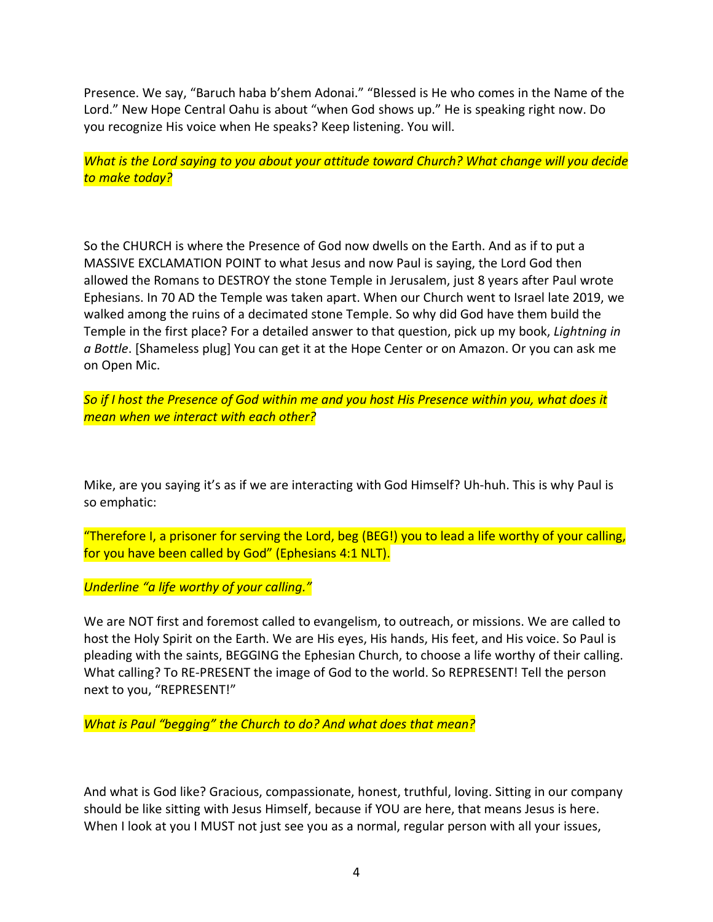Presence. We say, "Baruch haba b'shem Adonai." "Blessed is He who comes in the Name of the Lord." New Hope Central Oahu is about "when God shows up." He is speaking right now. Do you recognize His voice when He speaks? Keep listening. You will.

*What is the Lord saying to you about your attitude toward Church? What change will you decide to make today?*

So the CHURCH is where the Presence of God now dwells on the Earth. And as if to put a MASSIVE EXCLAMATION POINT to what Jesus and now Paul is saying, the Lord God then allowed the Romans to DESTROY the stone Temple in Jerusalem, just 8 years after Paul wrote Ephesians. In 70 AD the Temple was taken apart. When our Church went to Israel late 2019, we walked among the ruins of a decimated stone Temple. So why did God have them build the Temple in the first place? For a detailed answer to that question, pick up my book, *Lightning in a Bottle*. [Shameless plug] You can get it at the Hope Center or on Amazon. Or you can ask me on Open Mic.

So if I host the Presence of God within me and you host His Presence within you, what does it *mean when we interact with each other?*

Mike, are you saying it's as if we are interacting with God Himself? Uh-huh. This is why Paul is so emphatic:

"Therefore I, a prisoner for serving the Lord, beg (BEG!) you to lead a life worthy of your calling, for you have been called by God" (Ephesians 4:1 NLT).

*Underline "a life worthy of your calling."*

We are NOT first and foremost called to evangelism, to outreach, or missions. We are called to host the Holy Spirit on the Earth. We are His eyes, His hands, His feet, and His voice. So Paul is pleading with the saints, BEGGING the Ephesian Church, to choose a life worthy of their calling. What calling? To RE-PRESENT the image of God to the world. So REPRESENT! Tell the person next to you, "REPRESENT!"

*What is Paul "begging" the Church to do? And what does that mean?*

And what is God like? Gracious, compassionate, honest, truthful, loving. Sitting in our company should be like sitting with Jesus Himself, because if YOU are here, that means Jesus is here. When I look at you I MUST not just see you as a normal, regular person with all your issues,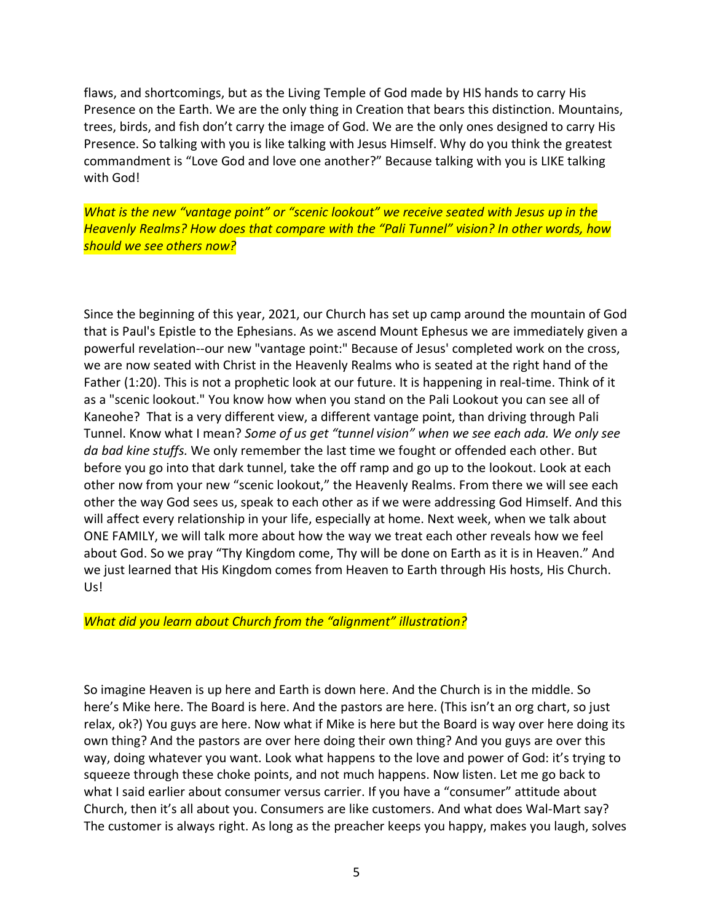flaws, and shortcomings, but as the Living Temple of God made by HIS hands to carry His Presence on the Earth. We are the only thing in Creation that bears this distinction. Mountains, trees, birds, and fish don't carry the image of God. We are the only ones designed to carry His Presence. So talking with you is like talking with Jesus Himself. Why do you think the greatest commandment is "Love God and love one another?" Because talking with you is LIKE talking with God!

*What is the new "vantage point" or "scenic lookout" we receive seated with Jesus up in the Heavenly Realms? How does that compare with the "Pali Tunnel" vision? In other words, how should we see others now?*

Since the beginning of this year, 2021, our Church has set up camp around the mountain of God that is Paul's Epistle to the Ephesians. As we ascend Mount Ephesus we are immediately given a powerful revelation--our new "vantage point:" Because of Jesus' completed work on the cross, we are now seated with Christ in the Heavenly Realms who is seated at the right hand of the Father (1:20). This is not a prophetic look at our future. It is happening in real-time. Think of it as a "scenic lookout." You know how when you stand on the Pali Lookout you can see all of Kaneohe? That is a very different view, a different vantage point, than driving through Pali Tunnel. Know what I mean? *Some of us get "tunnel vision" when we see each ada. We only see da bad kine stuffs.* We only remember the last time we fought or offended each other. But before you go into that dark tunnel, take the off ramp and go up to the lookout. Look at each other now from your new "scenic lookout," the Heavenly Realms. From there we will see each other the way God sees us, speak to each other as if we were addressing God Himself. And this will affect every relationship in your life, especially at home. Next week, when we talk about ONE FAMILY, we will talk more about how the way we treat each other reveals how we feel about God. So we pray "Thy Kingdom come, Thy will be done on Earth as it is in Heaven." And we just learned that His Kingdom comes from Heaven to Earth through His hosts, His Church. Us!

*What did you learn about Church from the "alignment" illustration?*

So imagine Heaven is up here and Earth is down here. And the Church is in the middle. So here's Mike here. The Board is here. And the pastors are here. (This isn't an org chart, so just relax, ok?) You guys are here. Now what if Mike is here but the Board is way over here doing its own thing? And the pastors are over here doing their own thing? And you guys are over this way, doing whatever you want. Look what happens to the love and power of God: it's trying to squeeze through these choke points, and not much happens. Now listen. Let me go back to what I said earlier about consumer versus carrier. If you have a "consumer" attitude about Church, then it's all about you. Consumers are like customers. And what does Wal-Mart say? The customer is always right. As long as the preacher keeps you happy, makes you laugh, solves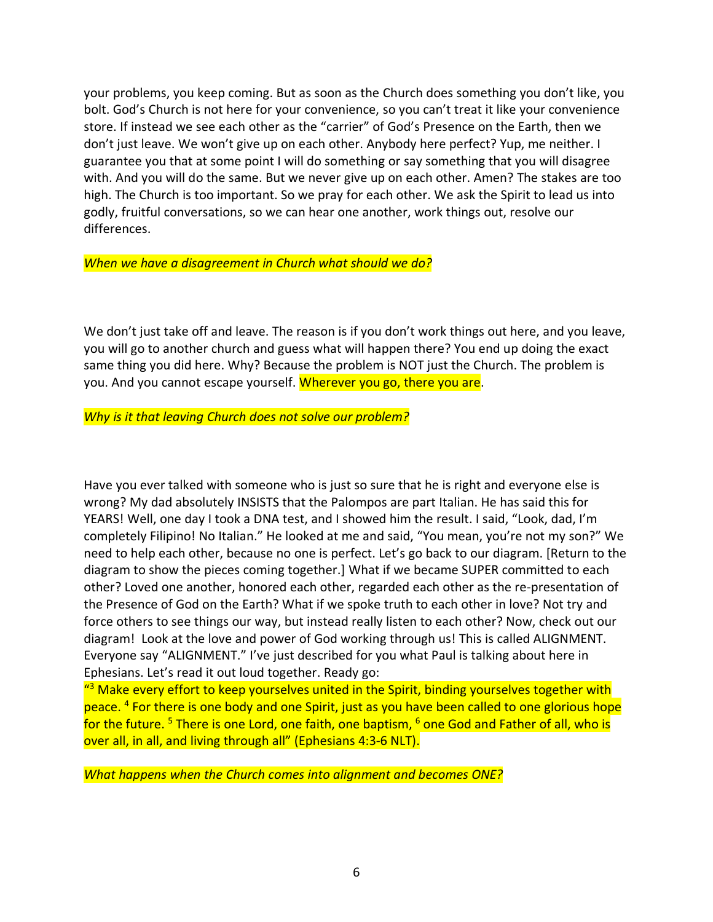your problems, you keep coming. But as soon as the Church does something you don't like, you bolt. God's Church is not here for your convenience, so you can't treat it like your convenience store. If instead we see each other as the "carrier" of God's Presence on the Earth, then we don't just leave. We won't give up on each other. Anybody here perfect? Yup, me neither. I guarantee you that at some point I will do something or say something that you will disagree with. And you will do the same. But we never give up on each other. Amen? The stakes are too high. The Church is too important. So we pray for each other. We ask the Spirit to lead us into godly, fruitful conversations, so we can hear one another, work things out, resolve our differences.

*When we have a disagreement in Church what should we do?*

We don't just take off and leave. The reason is if you don't work things out here, and you leave, you will go to another church and guess what will happen there? You end up doing the exact same thing you did here. Why? Because the problem is NOT just the Church. The problem is you. And you cannot escape yourself. Wherever you go, there you are.

*Why is it that leaving Church does not solve our problem?*

Have you ever talked with someone who is just so sure that he is right and everyone else is wrong? My dad absolutely INSISTS that the Palompos are part Italian. He has said this for YEARS! Well, one day I took a DNA test, and I showed him the result. I said, "Look, dad, I'm completely Filipino! No Italian." He looked at me and said, "You mean, you're not my son?" We need to help each other, because no one is perfect. Let's go back to our diagram. [Return to the diagram to show the pieces coming together.] What if we became SUPER committed to each other? Loved one another, honored each other, regarded each other as the re-presentation of the Presence of God on the Earth? What if we spoke truth to each other in love? Not try and force others to see things our way, but instead really listen to each other? Now, check out our diagram! Look at the love and power of God working through us! This is called ALIGNMENT. Everyone say "ALIGNMENT." I've just described for you what Paul is talking about here in Ephesians. Let's read it out loud together. Ready go:

<sup>43</sup> Make every effort to keep yourselves united in the Spirit, binding yourselves together with peace. <sup>4</sup> For there is one body and one Spirit, just as you have been called to one glorious hope for the future.<sup>5</sup> There is one Lord, one faith, one baptism,  $6$  one God and Father of all, who is over all, in all, and living through all" (Ephesians 4:3-6 NLT).

*What happens when the Church comes into alignment and becomes ONE?*